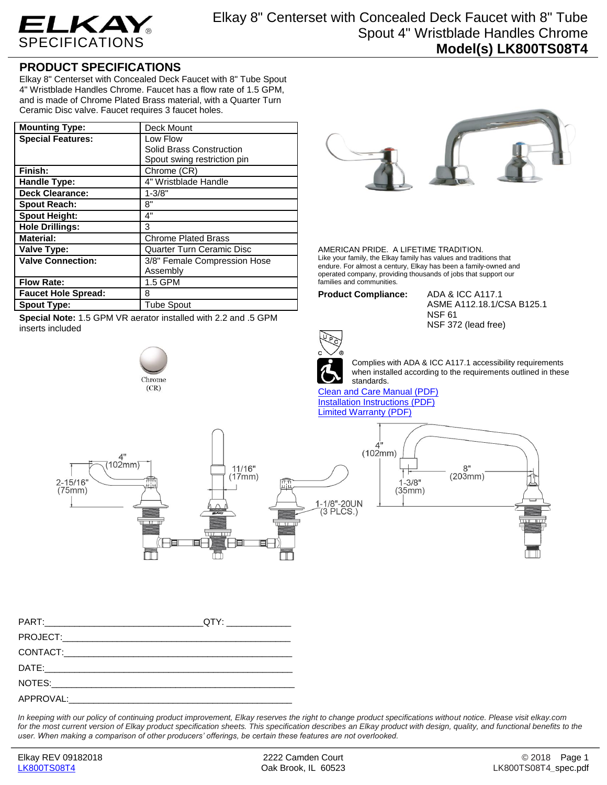

## **PRODUCT SPECIFICATIONS**

Elkay 8" Centerset with Concealed Deck Faucet with 8" Tube Spout 4" Wristblade Handles Chrome. Faucet has a flow rate of 1.5 GPM, and is made of Chrome Plated Brass material, with a Quarter Turn Ceramic Disc valve. Faucet requires 3 faucet holes.

| <b>Mounting Type:</b>      | Deck Mount                       |
|----------------------------|----------------------------------|
| <b>Special Features:</b>   | Low Flow                         |
|                            | Solid Brass Construction         |
|                            | Spout swing restriction pin      |
| Finish:                    | Chrome (CR)                      |
| <b>Handle Type:</b>        | 4" Wristblade Handle             |
| <b>Deck Clearance:</b>     | $1 - 3/8"$                       |
| <b>Spout Reach:</b>        | 8"                               |
| <b>Spout Height:</b>       | 4"                               |
| <b>Hole Drillings:</b>     | 3                                |
| <b>Material:</b>           | <b>Chrome Plated Brass</b>       |
| <b>Valve Type:</b>         | <b>Quarter Turn Ceramic Disc</b> |
| <b>Valve Connection:</b>   | 3/8" Female Compression Hose     |
|                            | Assembly                         |
| <b>Flow Rate:</b>          | 1.5 GPM                          |
| <b>Faucet Hole Spread:</b> | 8                                |
| <b>Spout Type:</b>         | <b>Tube Spout</b>                |

**Special Note:** 1.5 GPM VR aerator installed with 2.2 and .5 GPM inserts included

## Chrome  $(CR)$



AMERICAN PRIDE. A LIFETIME TRADITION. Like your family, the Elkay family has values and traditions that endure. For almost a century, Elkay has been a family-owned and operated company, providing thousands of jobs that support our families and communities.

**Product Compliance:** ADA & ICC A117.1

ASME A112.18.1/CSA B125.1 NSF 61 NSF 372 (lead free)



Complies with ADA & ICC A117.1 accessibility requirements when installed according to the requirements outlined in these standards.

[Clean and Care Manual \(PDF\)](http://www.elkay.com/wcsstore/lkdocs/care-cleaning-install-warranty-sheets/residential%20and%20commercial%20care%20%20cleaning.pdf) [Installation Instructions \(PDF\)](http://www.elkay.com/wcsstore/lkdocs/care-cleaning-install-warranty-sheets/a55483.pdf) [Limited Warranty](http://www.elkay.com/wcsstore/lkdocs/care-cleaning-install-warranty-sheets/commercial%20sinks%20and%20faucets%20warranty.pdf) (PDF)



*In keeping with our policy of continuing product improvement, Elkay reserves the right to change product specifications without notice. Please visit elkay.com*  for the most current version of Elkay product specification sheets. This specification describes an Elkay product with design, quality, and functional benefits to the *user. When making a comparison of other producers' offerings, be certain these features are not overlooked.*